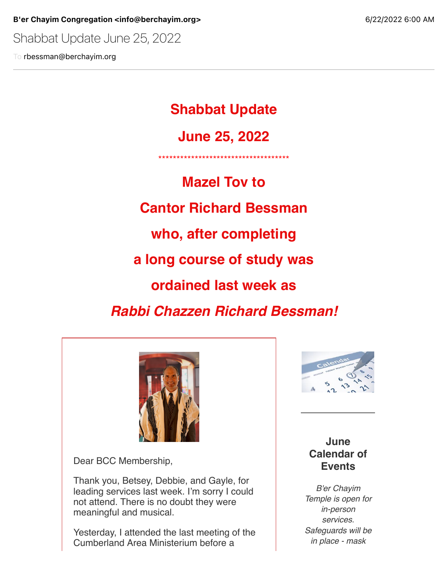B'er Chayim Congregation <info@berchayim.org> 6/22/2022 6:00 AM

Shabbat Update June 25, 2022

To rbessman@berchayim.org

**Shabbat Update**

**June 25, 2022**

\*\*\*\*\*\*\*\*\*\*\*\*\*\*\*\*\*\*\*\*\*\*\*\*\*\*\*\*\*\*\*\*\*\*\*\*

**Mazel Tov to Cantor Richard Bessman who, after completing a long course of study was ordained last week as** *Rabbi Chazzen Richard Bessman!*



Dear BCC Membership,

Thank you, Betsey, Debbie, and Gayle, for leading services last week. I'm sorry I could not attend. There is no doubt they were meaningful and musical.

Yesterday, I attended the last meeting of the Cumberland Area Ministerium before a



### **June Calendar of Events**

*B'er Chayim Temple is open for in-person services. Safeguards will be in place - mask*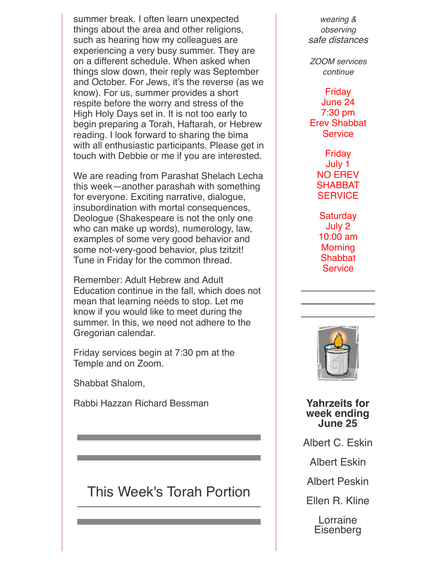summer break. I often learn unexpected things about the area and other religions, such as hearing how my colleagues are experiencing a very busy summer. They are on a different schedule. When asked when things slow down, their reply was September and October. For Jews, it's the reverse (as we know). For us, summer provides a short respite before the worry and stress of the High Holy Days set in. It is not too early to begin preparing a Torah, Haftarah, or Hebrew reading. I look forward to sharing the bima with all enthusiastic participants. Please get in touch with Debbie or me if you are interested.

We are reading from Parashat Shelach Lecha this week—another parashah with something for everyone. Exciting narrative, dialogue, insubordination with mortal consequences, Deologue (Shakespeare is not the only one who can make up words), numerology, law, examples of some very good behavior and some not-very-good behavior, plus tzitzit! Tune in Friday for the common thread.

Remember: Adult Hebrew and Adult Education continue in the fall, which does not mean that learning needs to stop. Let me know if you would like to meet during the summer. In this, we need not adhere to the Gregorian calendar.

Friday services begin at 7:30 pm at the Temple and on Zoom.

Shabbat Shalom,

Rabbi Hazzan Richard Bessman

# This Week's Torah Portion

*wearing & observing safe distances*

*ZOOM services continue*

#### Friday

June 24 7:30 pm Erev Shabbat **Service** 

> Friday July 1 NO EREV **SHABBAT SERVICE**

**Saturday** July 2 10:00 am **Morning Shabbat Service** 



**Yahrzeits for week ending June 25**

Albert C. Eskin

Albert Eskin

Albert Peskin

Ellen R. Kline

Lorraine Eisenberg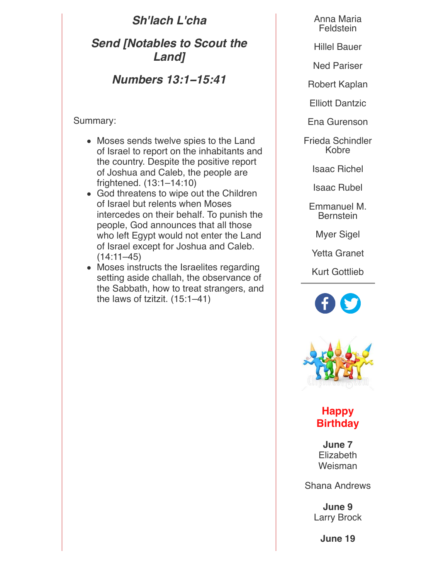*Sh'lach L'cha*

*Send [Notables to Scout the Land]*

*Numbers 13:1***−***15:41*

Summary:

- Moses sends twelve spies to the Land of Israel to report on the inhabitants and the country. Despite the positive report of Joshua and Caleb, the people are frightened. (13:1–14:10)
- God threatens to wipe out the Children of Israel but relents when Moses intercedes on their behalf. To punish the people, God announces that all those who left Egypt would not enter the Land of Israel except for Joshua and Caleb.  $(14:11-45)$
- Moses instructs the Israelites regarding setting aside challah, the observance of the Sabbath, how to treat strangers, and the laws of tzitzit. (15:1–41)

Anna Maria Feldstein

Hillel Bauer

Ned Pariser

Robert Kaplan

Elliott Dantzic

Ena Gurenson

Frieda Schindler Kobre

Isaac Richel

Isaac Rubel

Emmanuel M. **Bernstein** 

Myer Sigel

Yetta Granet

Kurt Gottlieb



## **Happy Birthday**

**June 7 Elizabeth** Weisman

Shana Andrews

**June 9** Larry Brock

**June 19**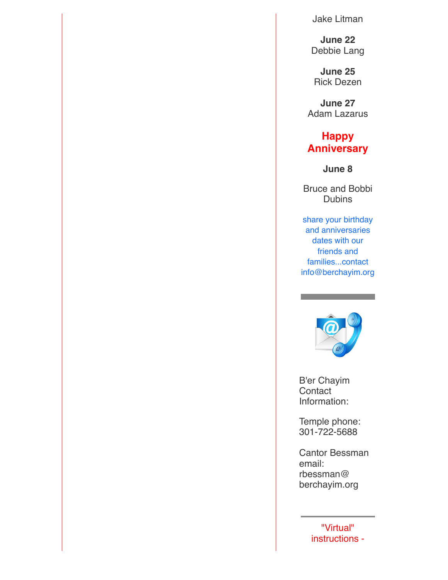Jake Litman

**June 22** Debbie Lang

**June 25** Rick Dezen

**June 27** Adam Lazarus

#### **Happy Anniversary**

**June 8**

Bruce and Bobbi Dubins

share your birthday and anniversaries dates with our friends and families...contact info@berchayim.org



B'er Chayim **Contact** Information:

Temple phone: 301-722-5688

Cantor Bessman email: rbessman@ berchayim.org

> "Virtual" instructions -